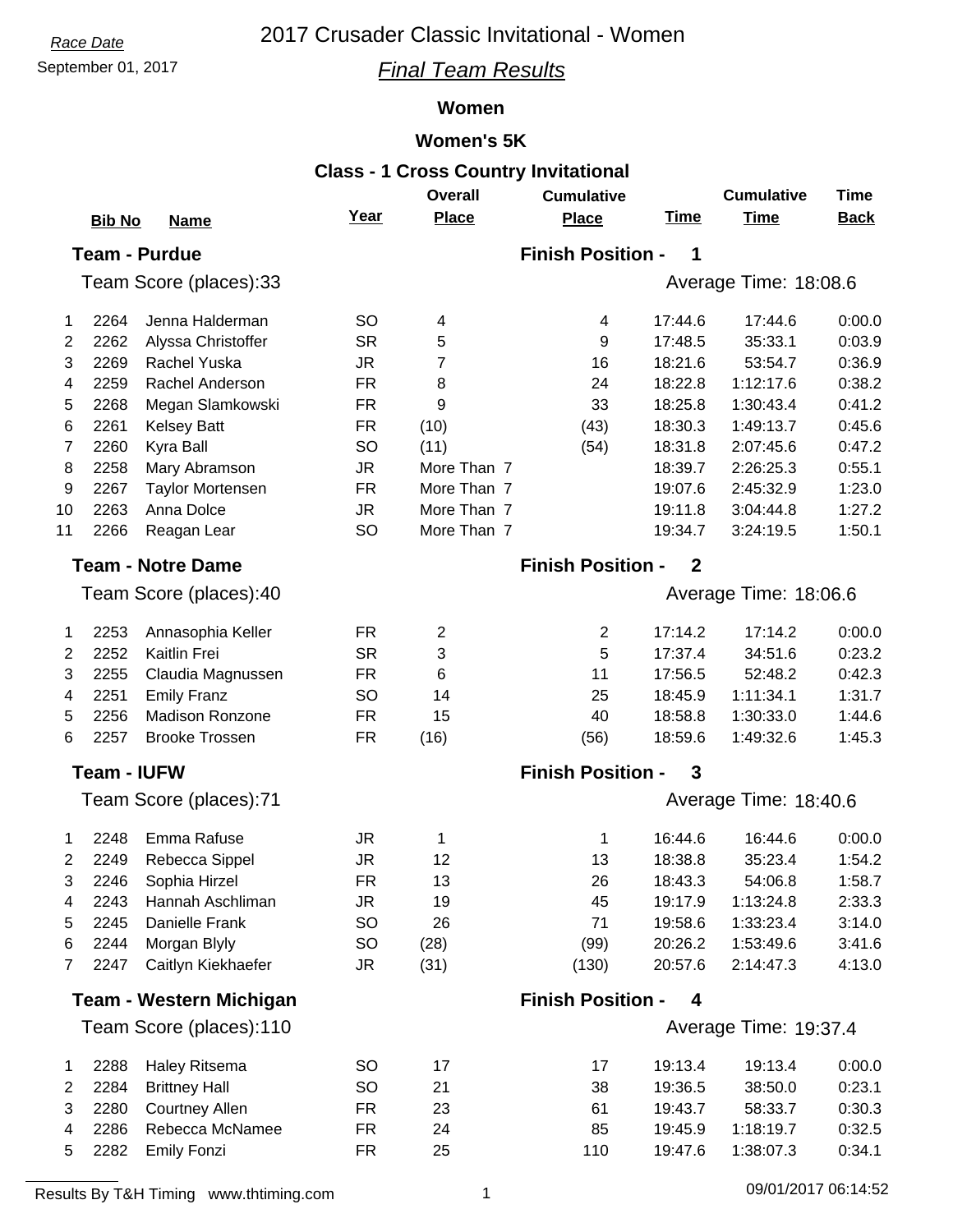# *Race Date* 2017 Crusader Classic Invitational - Women

## September 01, 2017 *Final Team Results*

#### **Women**

#### **Women's 5K**

| <b>Class - 1 Cross Country Invitational</b> |                    |                                |           |                |                          |                       |                       |             |
|---------------------------------------------|--------------------|--------------------------------|-----------|----------------|--------------------------|-----------------------|-----------------------|-------------|
|                                             |                    |                                |           | <b>Overall</b> | <b>Cumulative</b>        |                       | <b>Cumulative</b>     | <b>Time</b> |
|                                             | <b>Bib No</b>      | <b>Name</b>                    | Year      | <b>Place</b>   | <b>Place</b>             | <b>Time</b>           | <b>Time</b>           | <b>Back</b> |
|                                             |                    | <b>Team - Purdue</b>           |           |                | <b>Finish Position -</b> | 1                     |                       |             |
|                                             |                    | Team Score (places):33         |           |                |                          |                       | Average Time: 18:08.6 |             |
| 1                                           | 2264               | Jenna Halderman                | SO        | 4              | 4                        | 17:44.6               | 17:44.6               | 0:00.0      |
| 2                                           | 2262               | Alyssa Christoffer             | <b>SR</b> | 5              | 9                        | 17:48.5               | 35:33.1               | 0:03.9      |
| 3                                           | 2269               | Rachel Yuska                   | <b>JR</b> | 7              | 16                       | 18:21.6               | 53:54.7               | 0:36.9      |
| 4                                           | 2259               | Rachel Anderson                | <b>FR</b> | 8              | 24                       | 18:22.8               | 1:12:17.6             | 0:38.2      |
| 5                                           | 2268               | Megan Slamkowski               | <b>FR</b> | 9              | 33                       | 18:25.8               | 1:30:43.4             | 0:41.2      |
| 6                                           | 2261               | <b>Kelsey Batt</b>             | FR.       | (10)           | (43)                     | 18:30.3               | 1:49:13.7             | 0:45.6      |
| $\overline{7}$                              | 2260               | Kyra Ball                      | SO        | (11)           | (54)                     | 18:31.8               | 2:07:45.6             | 0:47.2      |
| 8                                           | 2258               | Mary Abramson                  | <b>JR</b> | More Than 7    |                          | 18:39.7               | 2:26:25.3             | 0:55.1      |
| 9                                           | 2267               | <b>Taylor Mortensen</b>        | <b>FR</b> | More Than 7    |                          | 19:07.6               | 2:45:32.9             | 1:23.0      |
| 10                                          | 2263               | Anna Dolce                     | <b>JR</b> | More Than 7    |                          | 19:11.8               | 3:04:44.8             | 1:27.2      |
| 11                                          | 2266               | Reagan Lear                    | <b>SO</b> | More Than 7    |                          | 19:34.7               | 3:24:19.5             | 1:50.1      |
|                                             |                    | <b>Team - Notre Dame</b>       |           |                | <b>Finish Position -</b> | $\mathbf{2}$          |                       |             |
|                                             |                    | Team Score (places):40         |           |                |                          |                       | Average Time: 18:06.6 |             |
| 1                                           | 2253               | Annasophia Keller              | FR.       | $\overline{2}$ | $\overline{2}$           | 17:14.2               | 17:14.2               | 0:00.0      |
| 2                                           | 2252               | Kaitlin Frei                   | <b>SR</b> | 3              | 5                        | 17:37.4               | 34:51.6               | 0:23.2      |
| 3                                           | 2255               | Claudia Magnussen              | <b>FR</b> | 6              | 11                       | 17:56.5               | 52:48.2               | 0:42.3      |
| 4                                           | 2251               | <b>Emily Franz</b>             | <b>SO</b> | 14             | 25                       | 18:45.9               | 1:11:34.1             | 1:31.7      |
| 5                                           | 2256               | <b>Madison Ronzone</b>         | <b>FR</b> | 15             | 40                       | 18:58.8               | 1:30:33.0             | 1:44.6      |
| 6                                           | 2257               | <b>Brooke Trossen</b>          | FR.       | (16)           | (56)                     | 18:59.6               | 1:49:32.6             | 1:45.3      |
|                                             | <b>Team - IUFW</b> |                                |           |                | <b>Finish Position -</b> | 3                     |                       |             |
| Team Score (places):71                      |                    |                                |           |                |                          | Average Time: 18:40.6 |                       |             |
|                                             |                    |                                |           |                |                          |                       |                       |             |
| 1.                                          | 2248               | Emma Rafuse                    | JR        | 1              | 1                        | 16:44.6               | 16:44.6               | 0:00.0      |
| 2                                           | 2249               | Rebecca Sippel                 | JR        | 12             | 13                       | 18:38.8               | 35:23.4               | 1:54.2      |
| 3                                           | 2246               | Sophia Hirzel                  | <b>FR</b> | 13             | 26                       | 18:43.3               | 54:06.8               | 1:58.7      |
| 4                                           | 2243               | Hannah Aschliman               | JR        | 19             | 45                       | 19:17.9               | 1:13:24.8             | 2:33.3      |
| 5                                           | 2245               | Danielle Frank                 | SO        | 26             | 71                       | 19:58.6               | 1:33:23.4             | 3:14.0      |
| 6                                           | 2244               | Morgan Blyly                   | SO        | (28)           | (99)                     | 20:26.2               | 1:53:49.6             | 3:41.6      |
| $\overline{7}$                              | 2247               | Caitlyn Kiekhaefer             | JR        | (31)           | (130)                    | 20:57.6               | 2:14:47.3             | 4:13.0      |
|                                             |                    | <b>Team - Western Michigan</b> |           |                | <b>Finish Position -</b> | 4                     |                       |             |
|                                             |                    | Team Score (places):110        |           |                |                          |                       | Average Time: 19:37.4 |             |
| 1                                           | 2288               | Haley Ritsema                  | <b>SO</b> | 17             | 17                       | 19:13.4               | 19:13.4               | 0:00.0      |
| 2                                           | 2284               | <b>Brittney Hall</b>           | SO        | 21             | 38                       | 19:36.5               | 38:50.0               | 0:23.1      |
| 3                                           | 2280               | <b>Courtney Allen</b>          | FR.       | 23             | 61                       | 19:43.7               | 58:33.7               | 0:30.3      |
| 4                                           | 2286               | Rebecca McNamee                | FR.       | 24             | 85                       | 19:45.9               | 1:18:19.7             | 0:32.5      |
| 5                                           | 2282               | <b>Emily Fonzi</b>             | <b>FR</b> | 25             | 110                      | 19:47.6               | 1:38:07.3             | 0:34.1      |

Results By T&H Timing www.thtiming.com 1 09/01/2017 06:14:52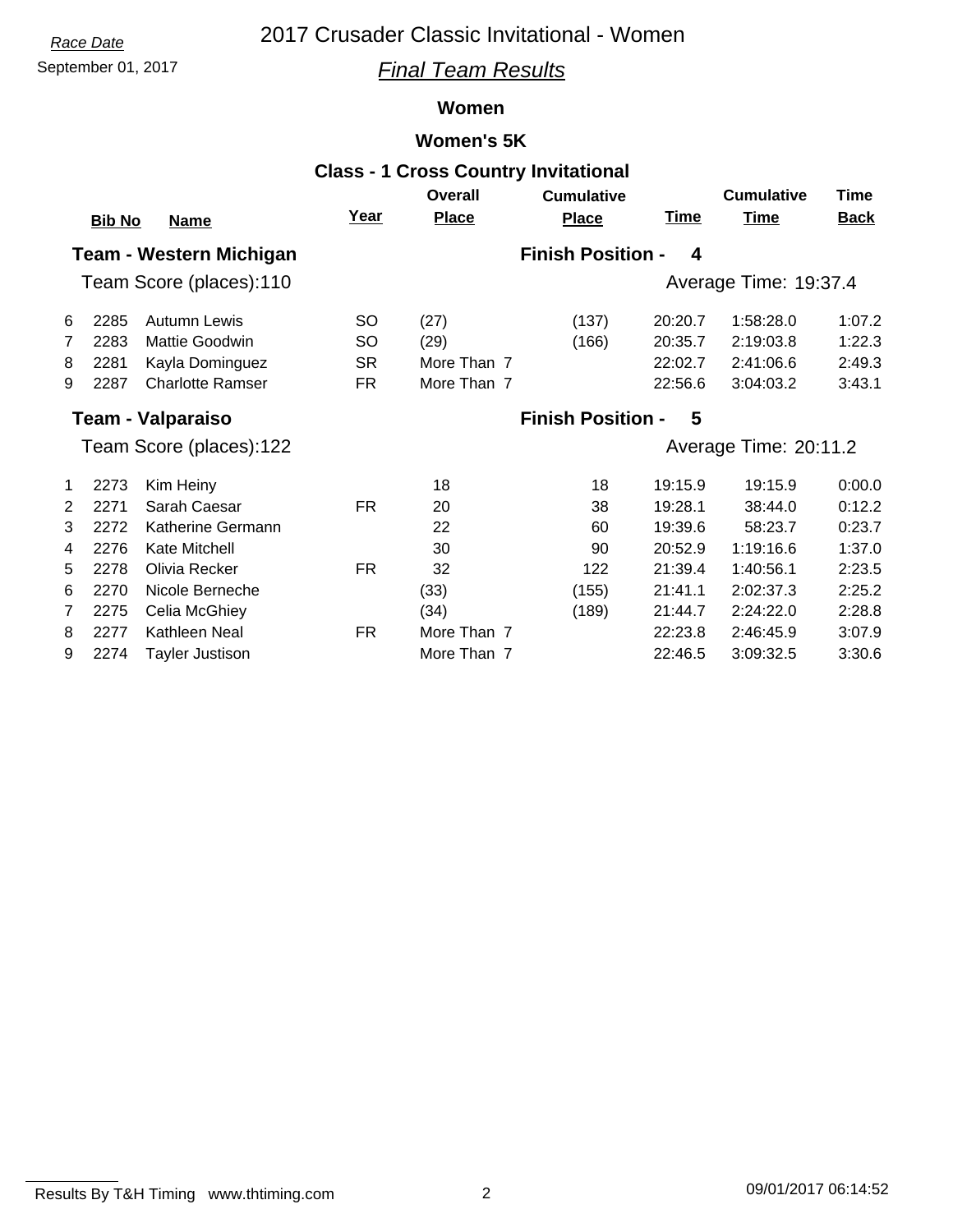# *Race Date* 2017 Crusader Classic Invitational - Women

## September 01, 2017 *Final Team Results*

## **Women**

## **Women's 5K**

|                                |               |                         |             |                          | <b>Class - 1 Cross Country Invitational</b> |                       |                       |             |
|--------------------------------|---------------|-------------------------|-------------|--------------------------|---------------------------------------------|-----------------------|-----------------------|-------------|
|                                |               |                         |             | <b>Overall</b>           | <b>Cumulative</b>                           |                       | <b>Cumulative</b>     | <b>Time</b> |
|                                | <b>Bib No</b> | <b>Name</b>             | <u>Year</u> | <b>Place</b>             | <b>Place</b>                                | <b>Time</b>           | <b>Time</b>           | <b>Back</b> |
| <b>Team - Western Michigan</b> |               |                         |             | <b>Finish Position -</b> | 4                                           |                       |                       |             |
| Team Score (places):110        |               |                         |             |                          |                                             | Average Time: 19:37.4 |                       |             |
| 6                              | 2285          | Autumn Lewis            | <b>SO</b>   | (27)                     | (137)                                       | 20:20.7               | 1:58:28.0             | 1:07.2      |
| 7                              | 2283          | Mattie Goodwin          | <b>SO</b>   | (29)                     | (166)                                       | 20:35.7               | 2:19:03.8             | 1:22.3      |
| 8                              | 2281          | Kayla Dominguez         | <b>SR</b>   | More Than 7              |                                             | 22:02.7               | 2:41:06.6             | 2:49.3      |
| 9                              | 2287          | <b>Charlotte Ramser</b> | <b>FR</b>   | More Than 7              |                                             | 22:56.6               | 3:04:03.2             | 3:43.1      |
| <b>Team - Valparaiso</b>       |               |                         |             | <b>Finish Position -</b> | 5                                           |                       |                       |             |
|                                |               | Team Score (places):122 |             |                          |                                             |                       | Average Time: 20:11.2 |             |
| 1                              | 2273          | Kim Heiny               |             | 18                       | 18                                          | 19:15.9               | 19:15.9               | 0:00.0      |
| $\overline{2}$                 | 2271          | Sarah Caesar            | <b>FR</b>   | 20                       | 38                                          | 19:28.1               | 38:44.0               | 0:12.2      |
| 3                              | 2272          | Katherine Germann       |             | 22                       | 60                                          | 19:39.6               | 58:23.7               | 0:23.7      |
| 4                              | 2276          | Kate Mitchell           |             | 30                       | 90                                          | 20:52.9               | 1:19:16.6             | 1:37.0      |
| 5                              | 2278          | Olivia Recker           | <b>FR</b>   | 32                       | 122                                         | 21:39.4               | 1:40:56.1             | 2:23.5      |
| 6                              | 2270          | Nicole Berneche         |             | (33)                     | (155)                                       | 21:41.1               | 2:02:37.3             | 2:25.2      |
| $\overline{7}$                 | 2275          | Celia McGhiey           |             | (34)                     | (189)                                       | 21:44.7               | 2:24:22.0             | 2:28.8      |
| 8                              | 2277          | Kathleen Neal           | <b>FR</b>   | More Than 7              |                                             | 22:23.8               | 2:46:45.9             | 3:07.9      |
| 9                              | 2274          | Tayler Justison         |             | More Than 7              |                                             | 22:46.5               | 3:09:32.5             | 3:30.6      |